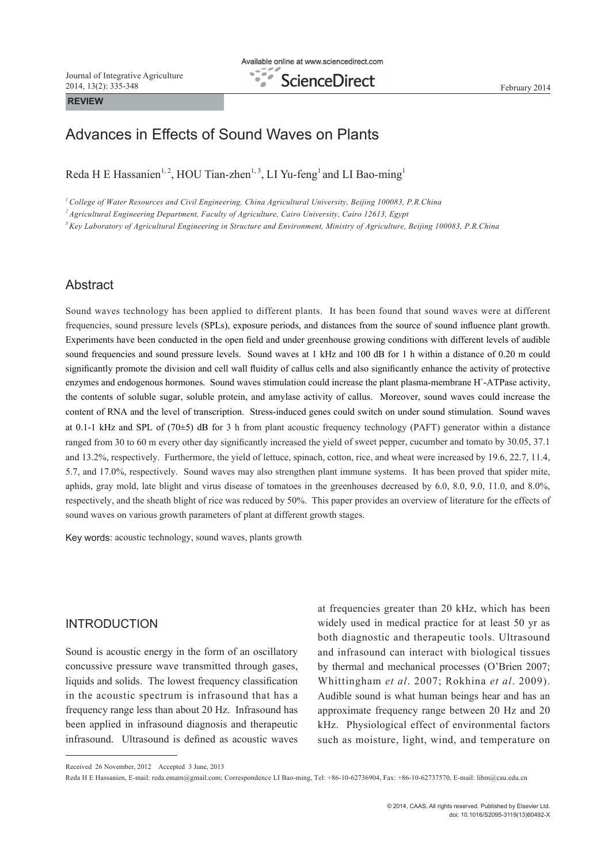Journal of Integrative Agriculture Journal of Integrative Agriculture<br>2014, 13(2): 335-348 February 2014

## Advances in Effects of Sound Waves on Plants

### Reda H E Hassanien<sup>1, 2</sup>, HOU Tian-zhen<sup>1, 3</sup>, LI Yu-feng<sup>1</sup> and LI Bao-ming<sup>1</sup>

*1 College of Water Resources and Civil Engineering, China Agricultural University, Beijing 100083, P.R.China*

*2 Agricultural Engineering Department, Faculty of Agriculture, Cairo University, Cairo 12613, Egypt*

<sup>3</sup> Key Laboratory of Agricultural Engineering in Structure and Environment, Ministry of Agriculture, Beijing 100083, P.R.China

### Abstract

Sound waves technology has been applied to different plants. It has been found that sound waves were at different frequencies, sound pressure levels (SPLs), exposure periods, and distances from the source of sound influence plant growth. Experiments have been conducted in the open field and under greenhouse growing conditions with different levels of audible sound frequencies and sound pressure levels. Sound waves at 1 kHz and 100 dB for 1 h within a distance of 0.20 m could significantly promote the division and cell wall fluidity of callus cells and also significantly enhance the activity of protective enzymes and endogenous hormones. Sound waves stimulation could increase the plant plasma-membrane H<sup>+</sup>-ATPase activity, the contents of soluble sugar, soluble protein, and amylase activity of callus. Moreover, sound waves could increase the content of RNA and the level of transcription. Stress-induced genes could switch on under sound stimulation. Sound waves at 0.1-1 kHz and SPL of (70±5) dB for 3 h from plant acoustic frequency technology (PAFT) generator within a distance ranged from 30 to 60 m every other day significantly increased the yield of sweet pepper, cucumber and tomato by 30.05, 37.1 and 13.2%, respectively. Furthermore, the yield of lettuce, spinach, cotton, rice, and wheat were increased by 19.6, 22.7, 11.4, 5.7, and 17.0%, respectively. Sound waves may also strengthen plant immune systems. It has been proved that spider mite, aphids, gray mold, late blight and virus disease of tomatoes in the greenhouses decreased by 6.0, 8.0, 9.0, 11.0, and 8.0%, respectively, and the sheath blight of rice was reduced by 50%. This paper provides an overview of literature for the effects of sound waves on various growth parameters of plant at different growth stages.

Key words: acoustic technology, sound waves, plants growth

#### INTRODUCTION

Sound is acoustic energy in the form of an oscillatory concussive pressure wave transmitted through gases, liquids and solids. The lowest frequency classification in the acoustic spectrum is infrasound that has a frequency range less than about 20 Hz. Infrasound has been applied in infrasound diagnosis and therapeutic infrasound. Ultrasound is defined as acoustic waves at frequencies greater than 20 kHz, which has been widely used in medical practice for at least 50 yr as both diagnostic and therapeutic tools. Ultrasound and infrasound can interact with biological tissues by thermal and mechanical processes (O'Brien 2007; Whittingham *et al*. 2007; Rokhina *et al*. 2009). Audible sound is what human beings hear and has an approximate frequency range between 20 Hz and 20 kHz. Physiological effect of environmental factors such as moisture, light, wind, and temperature on

Reda H E Hassanien, E-mail: reda.emam@gmail.com; Correspondence LI Bao-ming, Tel: +86-10-62736904, Fax: +86-10-62737570, E-mail: libm@cau.edu.cn

Received 26 November, 2012 Accepted 3 June, 2013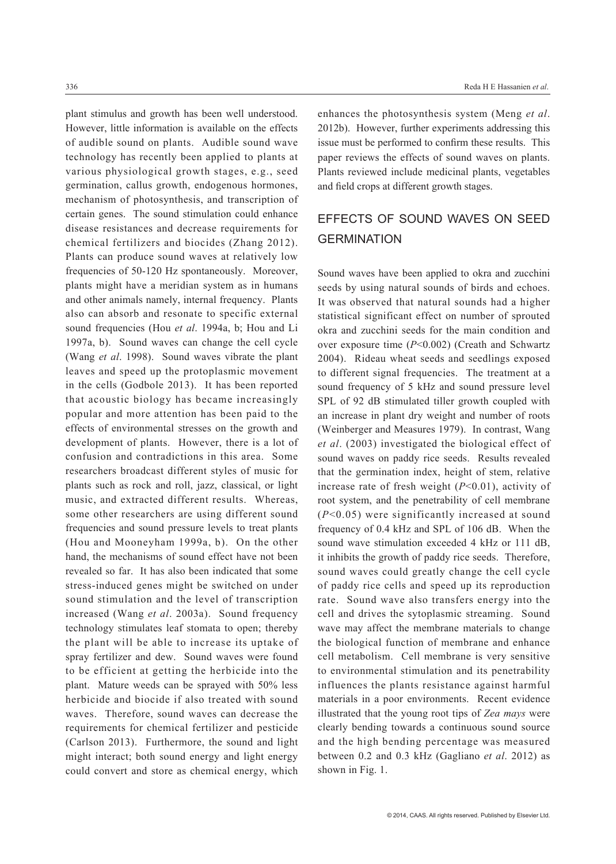plant stimulus and growth has been well understood. However, little information is available on the effects of audible sound on plants. Audible sound wave technology has recently been applied to plants at various physiological growth stages, e.g., seed germination, callus growth, endogenous hormones, mechanism of photosynthesis, and transcription of certain genes. The sound stimulation could enhance disease resistances and decrease requirements for chemical fertilizers and biocides (Zhang 2012). Plants can produce sound waves at relatively low frequencies of 50-120 Hz spontaneously. Moreover, plants might have a meridian system as in humans and other animals namely, internal frequency. Plants also can absorb and resonate to specific external sound frequencies (Hou *et al*. 1994a, b; Hou and Li 1997a, b). Sound waves can change the cell cycle (Wang *et al*. 1998). Sound waves vibrate the plant leaves and speed up the protoplasmic movement in the cells (Godbole 2013). It has been reported that acoustic biology has became increasingly popular and more attention has been paid to the effects of environmental stresses on the growth and development of plants. However, there is a lot of confusion and contradictions in this area. Some researchers broadcast different styles of music for plants such as rock and roll, jazz, classical, or light music, and extracted different results. Whereas, some other researchers are using different sound frequencies and sound pressure levels to treat plants (Hou and Mooneyham 1999a, b). On the other hand, the mechanisms of sound effect have not been revealed so far. It has also been indicated that some stress-induced genes might be switched on under sound stimulation and the level of transcription increased (Wang *et al*. 2003a). Sound frequency technology stimulates leaf stomata to open; thereby the plant will be able to increase its uptake of spray fertilizer and dew. Sound waves were found to be efficient at getting the herbicide into the plant. Mature weeds can be sprayed with 50% less herbicide and biocide if also treated with sound waves. Therefore, sound waves can decrease the requirements for chemical fertilizer and pesticide (Carlson 2013). Furthermore, the sound and light might interact; both sound energy and light energy could convert and store as chemical energy, which

enhances the photosynthesis system (Meng *et al*. 2012b). However, further experiments addressing this issue must be performed to confirm these results. This paper reviews the effects of sound waves on plants. Plants reviewed include medicinal plants, vegetables and field crops at different growth stages.

## EFFECTS OF SOUND WAVES ON SEED **GERMINATION**

Sound waves have been applied to okra and zucchini seeds by using natural sounds of birds and echoes. It was observed that natural sounds had a higher statistical significant effect on number of sprouted okra and zucchini seeds for the main condition and over exposure time (*P*<0.002) (Creath and Schwartz 2004). Rideau wheat seeds and seedlings exposed to different signal frequencies. The treatment at a sound frequency of 5 kHz and sound pressure level SPL of 92 dB stimulated tiller growth coupled with an increase in plant dry weight and number of roots (Weinberger and Measures 1979). In contrast, Wang *et al*. (2003) investigated the biological effect of sound waves on paddy rice seeds. Results revealed that the germination index, height of stem, relative increase rate of fresh weight (*P*<0.01), activity of root system, and the penetrability of cell membrane (*P*<0.05) were significantly increased at sound frequency of 0.4 kHz and SPL of 106 dB. When the sound wave stimulation exceeded 4 kHz or 111 dB, it inhibits the growth of paddy rice seeds. Therefore, sound waves could greatly change the cell cycle of paddy rice cells and speed up its reproduction rate. Sound wave also transfers energy into the cell and drives the sytoplasmic streaming. Sound wave may affect the membrane materials to change the biological function of membrane and enhance cell metabolism. Cell membrane is very sensitive to environmental stimulation and its penetrability influences the plants resistance against harmful materials in a poor environments. Recent evidence illustrated that the young root tips of *Zea mays* were clearly bending towards a continuous sound source and the high bending percentage was measured between 0.2 and 0.3 kHz (Gagliano *et al*. 2012) as shown in Fig. 1.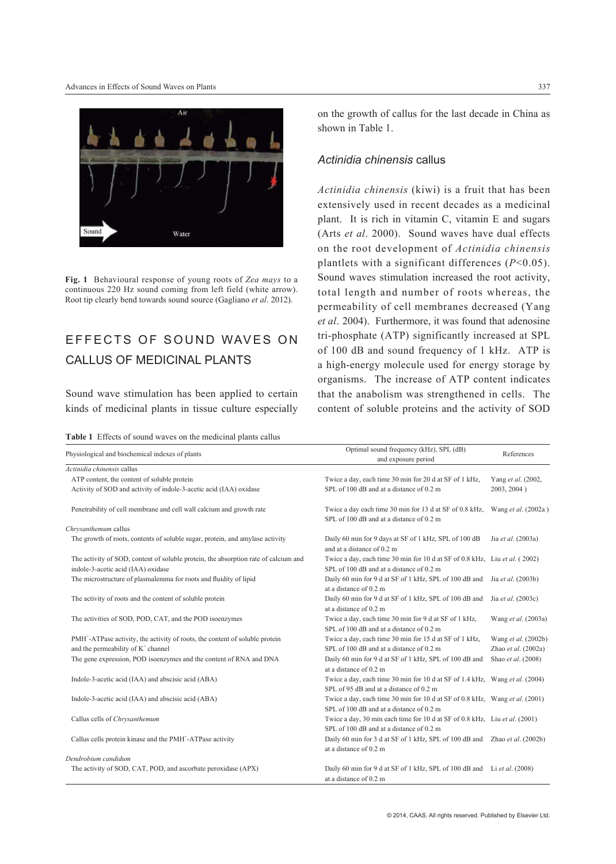

**Fig. 1** Behavioural response of young roots of *Zea mays* to a continuous 220 Hz sound coming from left field (white arrow). Root tip clearly bend towards sound source (Gagliano *et al*. 2012).

# EFFECTS OF SOUND WAVES ON CALLUS OF MEDICINAL PLANTS

Sound wave stimulation has been applied to certain kinds of medicinal plants in tissue culture especially

|  |  | <b>Table 1</b> Effects of sound waves on the medicinal plants callus |  |  |  |  |
|--|--|----------------------------------------------------------------------|--|--|--|--|
|--|--|----------------------------------------------------------------------|--|--|--|--|

on the growth of callus for the last decade in China as shown in Table 1.

#### *Actinidia chinensis* callus

*Actinidia chinensis* (kiwi) is a fruit that has been extensively used in recent decades as a medicinal plant. It is rich in vitamin C, vitamin E and sugars (Arts *et al*. 2000). Sound waves have dual effects on the root development of *Actinidia chinensis* plantlets with a significant differences (*P*<0.05). Sound waves stimulation increased the root activity, total length and number of roots whereas, the permeability of cell membranes decreased (Yang *et al*. 2004). Furthermore, it was found that adenosine tri-phosphate (ATP) significantly increased at SPL of 100 dB and sound frequency of 1 kHz. ATP is a high-energy molecule used for energy storage by organisms. The increase of ATP content indicates that the anabolism was strengthened in cells. The content of soluble proteins and the activity of SOD

| Physiological and biochemical indexes of plants                                                                                   | Optimal sound frequency (kHz), SPL (dB)<br>and exposure period                                                          | References                                 |  |
|-----------------------------------------------------------------------------------------------------------------------------------|-------------------------------------------------------------------------------------------------------------------------|--------------------------------------------|--|
| Actinidia chinensis callus                                                                                                        |                                                                                                                         |                                            |  |
| ATP content, the content of soluble protein                                                                                       | Twice a day, each time 30 min for 20 d at SF of 1 kHz,                                                                  | Yang et al. (2002,                         |  |
| Activity of SOD and activity of indole-3-acetic acid (IAA) oxidase                                                                | SPL of 100 dB and at a distance of 0.2 m                                                                                | 2003, 2004)                                |  |
| Penetrability of cell membrane and cell wall calcium and growth rate                                                              | Twice a day each time 30 min for 13 d at SF of 0.8 kHz,<br>SPL of 100 dB and at a distance of 0.2 m                     | Wang et al. (2002a)                        |  |
| Chrysanthemum callus                                                                                                              |                                                                                                                         |                                            |  |
| The growth of roots, contents of soluble sugar, protein, and amylase activity                                                     | Daily 60 min for 9 days at SF of 1 kHz, SPL of 100 dB<br>and at a distance of 0.2 m                                     | Jia et al. (2003a)                         |  |
| The activity of SOD, content of soluble protein, the absorption rate of calcium and<br>indole-3-acetic acid (IAA) oxidase         | Twice a day, each time 30 min for 10 d at SF of 0.8 kHz, Liu et al. (2002)<br>SPL of 100 dB and at a distance of 0.2 m  |                                            |  |
| The microstructure of plasmalemma for roots and fluidity of lipid                                                                 | Daily 60 min for 9 d at SF of 1 kHz, SPL of 100 dB and<br>at a distance of 0.2 m                                        | Jia et al. (2003b)                         |  |
| The activity of roots and the content of soluble protein                                                                          | Daily 60 min for 9 d at SF of 1 kHz, SPL of 100 dB and<br>at a distance of 0.2 m                                        | Jia et al. (2003c)                         |  |
| The activities of SOD, POD, CAT, and the POD isoenzymes                                                                           | Twice a day, each time 30 min for 9 d at SF of 1 kHz,<br>SPL of 100 dB and at a distance of 0.2 m                       | Wang et al. (2003a)                        |  |
| PMH <sup>+</sup> -ATPase activity, the activity of roots, the content of soluble protein<br>and the permeability of $K^+$ channel | Twice a day, each time 30 min for 15 d at SF of 1 kHz,<br>SPL of 100 dB and at a distance of 0.2 m                      | Wang et al. (2002b)<br>Zhao et al. (2002a) |  |
| The gene expression, POD isoenzymes and the content of RNA and DNA                                                                | Daily 60 min for 9 d at SF of 1 kHz, SPL of 100 dB and<br>at a distance of 0.2 m                                        | Shao et al. (2008)                         |  |
| Indole-3-acetic acid (IAA) and abscisic acid (ABA)                                                                                | Twice a day, each time 30 min for 10 d at SF of 1.4 kHz, Wang et al. (2004)<br>SPL of 95 dB and at a distance of 0.2 m  |                                            |  |
| Indole-3-acetic acid (IAA) and abscisic acid (ABA)                                                                                | Twice a day, each time 30 min for 10 d at SF of 0.8 kHz, Wang et al. (2001)<br>SPL of 100 dB and at a distance of 0.2 m |                                            |  |
| Callus cells of Chrysanthemum                                                                                                     | Twice a day, 30 min each time for 10 d at SF of 0.8 kHz, Liu et al. (2001)<br>SPL of 100 dB and at a distance of 0.2 m  |                                            |  |
| Callus cells protein kinase and the PMH <sup>+</sup> -ATPase activity                                                             | Daily 60 min for 3 d at SF of 1 kHz, SPL of 100 dB and Zhao et al. (2002b)<br>at a distance of 0.2 m                    |                                            |  |
| Dendrobium candidum                                                                                                               |                                                                                                                         |                                            |  |
| The activity of SOD, CAT, POD, and ascorbate peroxidase (APX)                                                                     | Daily 60 min for 9 d at SF of 1 kHz, SPL of 100 dB and Li et al. (2008)<br>at a distance of 0.2 m                       |                                            |  |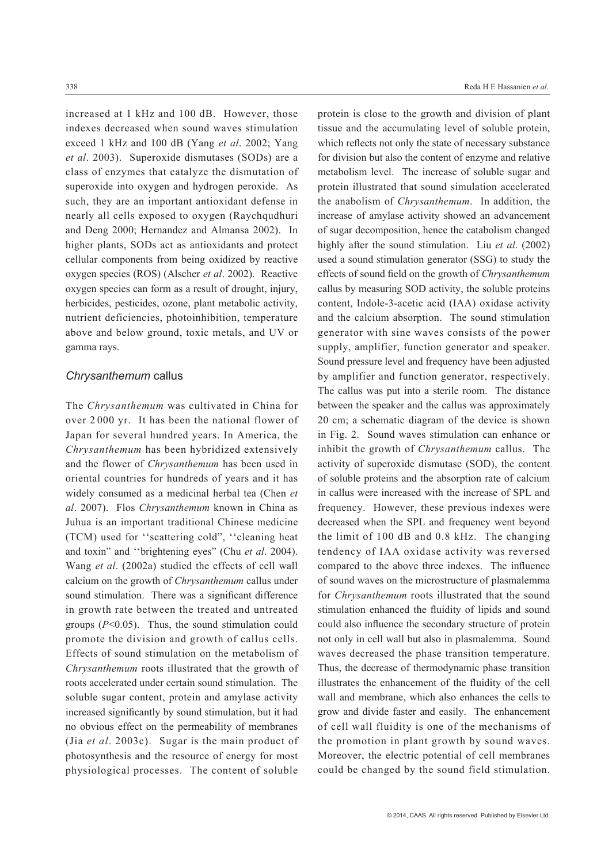increased at 1 kHz and 100 dB. However, those indexes decreased when sound waves stimulation exceed 1 kHz and 100 dB (Yang *et al*. 2002; Yang *et al*. 2003). Superoxide dismutases (SODs) are a class of enzymes that catalyze the dismutation of superoxide into oxygen and hydrogen peroxide. As such, they are an important antioxidant defense in nearly all cells exposed to oxygen (Raychqudhuri and Deng 2000; Hernandez and Almansa 2002). In higher plants, SODs act as antioxidants and protect cellular components from being oxidized by reactive oxygen species (ROS) (Alscher *et al*. 2002). Reactive oxygen species can form as a result of drought, injury, herbicides, pesticides, ozone, plant metabolic activity, nutrient deficiencies, photoinhibition, temperature above and below ground, toxic metals, and UV or gamma rays.

#### *Chrysanthemum* callus

The *Chrysanthemum* was cultivated in China for over 2 000 yr. It has been the national flower of Japan for several hundred years. In America, the *Chrysanthemum* has been hybridized extensively and the flower of *Chrysanthemum* has been used in oriental countries for hundreds of years and it has widely consumed as a medicinal herbal tea (Chen *et al*. 2007). Flos *Chrysanthemum* known in China as Juhua is an important traditional Chinese medicine (TCM) used for ''scattering cold", ''cleaning heat and toxin" and ''brightening eyes" (Chu *et al*. 2004). Wang *et al*. (2002a) studied the effects of cell wall calcium on the growth of *Chrysanthemum* callus under sound stimulation. There was a significant difference in growth rate between the treated and untreated groups (*P*<0.05). Thus, the sound stimulation could promote the division and growth of callus cells. Effects of sound stimulation on the metabolism of *Chrysanthemum* roots illustrated that the growth of roots accelerated under certain sound stimulation. The soluble sugar content, protein and amylase activity increased significantly by sound stimulation, but it had no obvious effect on the permeability of membranes (Jia *et al*. 2003c). Sugar is the main product of photosynthesis and the resource of energy for most physiological processes. The content of soluble

protein is close to the growth and division of plant tissue and the accumulating level of soluble protein, which reflects not only the state of necessary substance for division but also the content of enzyme and relative metabolism level. The increase of soluble sugar and protein illustrated that sound simulation accelerated the anabolism of *Chrysanthemum*. In addition, the increase of amylase activity showed an advancement of sugar decomposition, hence the catabolism changed highly after the sound stimulation. Liu *et al*. (2002) used a sound stimulation generator (SSG) to study the effects of sound field on the growth of *Chrysanthemum* callus by measuring SOD activity, the soluble proteins content, Indole-3-acetic acid (IAA) oxidase activity and the calcium absorption. The sound stimulation generator with sine waves consists of the power supply, amplifier, function generator and speaker. Sound pressure level and frequency have been adjusted by amplifier and function generator, respectively. The callus was put into a sterile room. The distance between the speaker and the callus was approximately 20 cm; a schematic diagram of the device is shown in Fig. 2. Sound waves stimulation can enhance or inhibit the growth of *Chrysanthemum* callus. The activity of superoxide dismutase (SOD), the content of soluble proteins and the absorption rate of calcium in callus were increased with the increase of SPL and frequency. However, these previous indexes were decreased when the SPL and frequency went beyond the limit of 100 dB and 0.8 kHz. The changing tendency of IAA oxidase activity was reversed compared to the above three indexes. The influence of sound waves on the microstructure of plasmalemma for *Chrysanthemum* roots illustrated that the sound stimulation enhanced the fluidity of lipids and sound could also influence the secondary structure of protein not only in cell wall but also in plasmalemma. Sound waves decreased the phase transition temperature. Thus, the decrease of thermodynamic phase transition illustrates the enhancement of the fluidity of the cell wall and membrane, which also enhances the cells to grow and divide faster and easily. The enhancement of cell wall fluidity is one of the mechanisms of the promotion in plant growth by sound waves. Moreover, the electric potential of cell membranes could be changed by the sound field stimulation.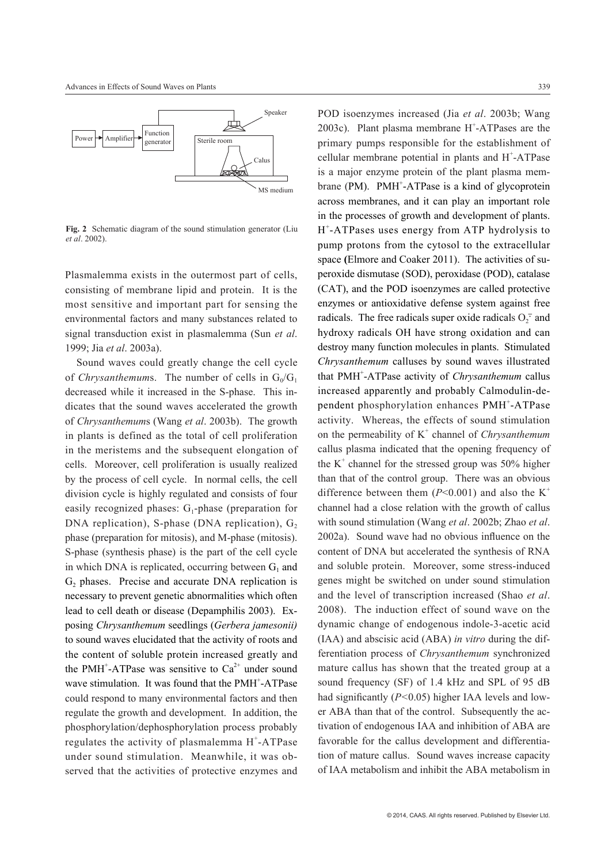

**Fig. 2** Schematic diagram of the sound stimulation generator (Liu *et al*. 2002).

Plasmalemma exists in the outermost part of cells, consisting of membrane lipid and protein. It is the most sensitive and important part for sensing the environmental factors and many substances related to signal transduction exist in plasmalemma (Sun *et al*. 1999; Jia *et al*. 2003a).

Sound waves could greatly change the cell cycle of *Chrysanthemums*. The number of cells in  $G_0/G_1$ decreased while it increased in the S-phase. This indicates that the sound waves accelerated the growth of *Chrysanthemum*s (Wang *et al*. 2003b). The growth in plants is defined as the total of cell proliferation in the meristems and the subsequent elongation of cells. Moreover, cell proliferation is usually realized by the process of cell cycle. In normal cells, the cell division cycle is highly regulated and consists of four easily recognized phases:  $G_1$ -phase (preparation for DNA replication), S-phase (DNA replication),  $G<sub>2</sub>$ phase (preparation for mitosis), and M-phase (mitosis). S-phase (synthesis phase) is the part of the cell cycle in which DNA is replicated, occurring between  $G_1$  and  $G<sub>2</sub>$  phases. Precise and accurate DNA replication is necessary to prevent genetic abnormalities which often lead to cell death or disease (Depamphilis 2003). Exposing *Chrysanthemum* seedlings (*Gerbera jamesonii)* to sound waves elucidated that the activity of roots and the content of soluble protein increased greatly and the PMH<sup>+</sup>-ATPase was sensitive to  $Ca^{2+}$  under sound wave stimulation. It was found that the PMH<sup>+</sup>-ATPase could respond to many environmental factors and then regulate the growth and development. In addition, the phosphorylation/dephosphorylation process probably regulates the activity of plasmalemma  $H^+$ -ATPase under sound stimulation. Meanwhile, it was observed that the activities of protective enzymes and

POD isoenzymes increased (Jia *et al*. 2003b; Wang  $2003c$ ). Plant plasma membrane H<sup>+</sup>-ATPases are the primary pumps responsible for the establishment of cellular membrane potential in plants and H<sup>+</sup>-ATPase is a major enzyme protein of the plant plasma membrane (PM). PMH<sup>+</sup>-ATPase is a kind of glycoprotein across membranes, and it can play an important role in the processes of growth and development of plants. H+ -ATPases uses energy from ATP hydrolysis to pump protons from the cytosol to the extracellular space **(**Elmore and Coaker 2011). The activities of superoxide dismutase (SOD), peroxidase (POD), catalase (CAT), and the POD isoenzymes are called protective enzymes or antioxidative defense system against free radicals. The free radicals super oxide radicals  $O_2^{\pm}$  and hydroxy radicals OH have strong oxidation and can destroy many function molecules in plants. Stimulated *Chrysanthemum* calluses by sound waves illustrated that PMH<sup>+</sup> -ATPase activity of *Chrysanthemum* callus increased apparently and probably Calmodulin-dependent phosphorylation enhances PMH<sup>+</sup>-ATPase activity. Whereas, the effects of sound stimulation on the permeability of K<sup>+</sup> channel of *Chrysanthemum* callus plasma indicated that the opening frequency of the  $K^+$  channel for the stressed group was 50% higher than that of the control group. There was an obvious difference between them  $(P<0.001)$  and also the K<sup>+</sup> channel had a close relation with the growth of callus with sound stimulation (Wang *et al*. 2002b; Zhao *et al*. 2002a). Sound wave had no obvious influence on the content of DNA but accelerated the synthesis of RNA and soluble protein. Moreover, some stress-induced genes might be switched on under sound stimulation and the level of transcription increased (Shao *et al*. 2008). The induction effect of sound wave on the dynamic change of endogenous indole-3-acetic acid (IAA) and abscisic acid (ABA) *in vitro* during the differentiation process of *Chrysanthemum* synchronized mature callus has shown that the treated group at a sound frequency (SF) of 1.4 kHz and SPL of 95 dB had significantly (*P<*0.05) higher IAA levels and lower ABA than that of the control. Subsequently the activation of endogenous IAA and inhibition of ABA are favorable for the callus development and differentiation of mature callus. Sound waves increase capacity of IAA metabolism and inhibit the ABA metabolism in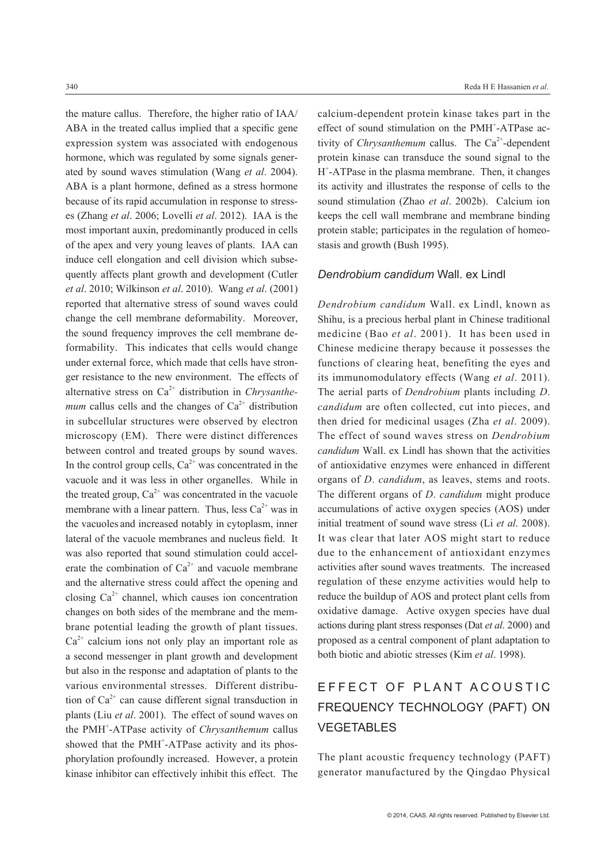the mature callus. Therefore, the higher ratio of IAA/ ABA in the treated callus implied that a specific gene expression system was associated with endogenous hormone, which was regulated by some signals generated by sound waves stimulation (Wang *et al*. 2004). ABA is a plant hormone, defined as a stress hormone because of its rapid accumulation in response to stresses (Zhang *et al*. 2006; Lovelli *et al*. 2012). IAA is the most important auxin, predominantly produced in cells of the apex and very young leaves of plants. IAA can induce cell elongation and cell division which subsequently affects plant growth and development (Cutler *et al*. 2010; Wilkinson *et al*. 2010). Wang *et al*. (2001) reported that alternative stress of sound waves could change the cell membrane deformability. Moreover, the sound frequency improves the cell membrane deformability. This indicates that cells would change under external force, which made that cells have stronger resistance to the new environment. The effects of alternative stress on Ca<sup>2+</sup> distribution in *Chrysanthemum* callus cells and the changes of  $Ca<sup>2+</sup>$  distribution in subcellular structures were observed by electron microscopy (EM). There were distinct differences between control and treated groups by sound waves. In the control group cells,  $Ca^{2+}$  was concentrated in the vacuole and it was less in other organelles. While in the treated group,  $Ca^{2+}$  was concentrated in the vacuole membrane with a linear pattern. Thus, less  $Ca^{2+}$  was in the vacuoles and increased notably in cytoplasm, inner lateral of the vacuole membranes and nucleus field. It was also reported that sound stimulation could accelerate the combination of  $Ca^{2+}$  and vacuole membrane and the alternative stress could affect the opening and closing  $Ca^{2+}$  channel, which causes ion concentration changes on both sides of the membrane and the membrane potential leading the growth of plant tissues.  $Ca<sup>2+</sup>$  calcium ions not only play an important role as a second messenger in plant growth and development but also in the response and adaptation of plants to the various environmental stresses. Different distribution of  $Ca^{2+}$  can cause different signal transduction in plants (Liu *et al*. 2001). The effect of sound waves on the PMH<sup>+</sup> -ATPase activity of *Chrysanthemum* callus showed that the PMH<sup>+</sup>-ATPase activity and its phosphorylation profoundly increased. However, a protein kinase inhibitor can effectively inhibit this effect. The

calcium-dependent protein kinase takes part in the effect of sound stimulation on the PMH<sup>+</sup>-ATPase activity of *Chrysanthemum* callus. The Ca<sup>2+</sup>-dependent protein kinase can transduce the sound signal to the H<sup>+</sup>-ATPase in the plasma membrane. Then, it changes its activity and illustrates the response of cells to the sound stimulation (Zhao *et al*. 2002b). Calcium ion keeps the cell wall membrane and membrane binding protein stable; participates in the regulation of homeostasis and growth (Bush 1995).

#### *Dendrobium candidum* Wall. ex Lindl

*Dendrobium candidum* Wall. ex Lindl, known as Shihu, is a precious herbal plant in Chinese traditional medicine (Bao *et al*. 2001). It has been used in Chinese medicine therapy because it possesses the functions of clearing heat, benefiting the eyes and its immunomodulatory effects (Wang *et al*. 2011). The aerial parts of *Dendrobium* plants including *D*. *candidum* are often collected, cut into pieces, and then dried for medicinal usages (Zha *et al*. 2009). The effect of sound waves stress on *Dendrobium candidum* Wall. ex Lindl has shown that the activities of antioxidative enzymes were enhanced in different organs of *D*. *candidum*, as leaves, stems and roots. The different organs of *D*. *candidum* might produce accumulations of active oxygen species (AOS) under initial treatment of sound wave stress (Li *et al*. 2008). It was clear that later AOS might start to reduce due to the enhancement of antioxidant enzymes activities after sound waves treatments. The increased regulation of these enzyme activities would help to reduce the buildup of AOS and protect plant cells from oxidative damage. Active oxygen species have dual actions during plant stress responses (Dat *et al*. 2000) and proposed as a central component of plant adaptation to both biotic and abiotic stresses (Kim *et al*. 1998).

# EFFECT OF PLANT ACOUSTIC FREQUENCY TECHNOLOGY (PAFT) ON **VEGETABLES**

The plant acoustic frequency technology (PAFT) generator manufactured by the Qingdao Physical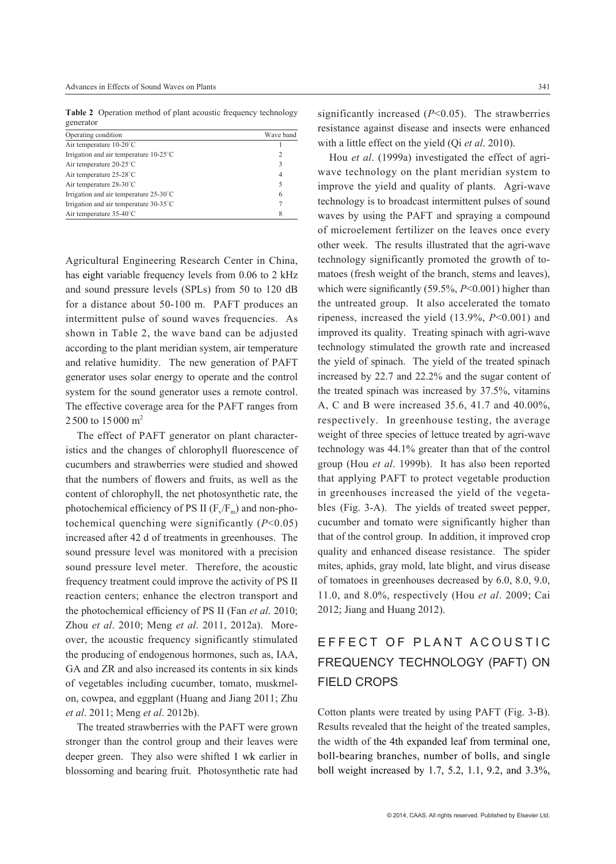**Table 2** Operation method of plant acoustic frequency technology generator

| Operating condition                              | Wave band      |
|--------------------------------------------------|----------------|
| Air temperature 10-20°C                          |                |
| Irrigation and air temperature $10-25^{\circ}$ C | $\mathfrak{D}$ |
| Air temperature $20-25^{\circ}$ C                | 3              |
| Air temperature 25-28°C                          | 4              |
| Air temperature 28-30°C                          | 5              |
| Irrigation and air temperature 25-30°C           | 6              |
| Irrigation and air temperature 30-35°C           | 7              |
| Air temperature $35-40^{\circ}$ C                | 8              |

Agricultural Engineering Research Center in China, has eight variable frequency levels from 0.06 to 2 kHz and sound pressure levels (SPLs) from 50 to 120 dB for a distance about 50-100 m. PAFT produces an intermittent pulse of sound waves frequencies. As shown in Table 2, the wave band can be adjusted according to the plant meridian system, air temperature and relative humidity. The new generation of PAFT generator uses solar energy to operate and the control system for the sound generator uses a remote control. The effective coverage area for the PAFT ranges from 2 500 to 15000 m<sup>2</sup>

The effect of PAFT generator on plant characteristics and the changes of chlorophyll fluorescence of cucumbers and strawberries were studied and showed that the numbers of flowers and fruits, as well as the content of chlorophyll, the net photosynthetic rate, the photochemical efficiency of PS II  $(F_v/F_m)$  and non-photochemical quenching were significantly (*P*<0.05) increased after 42 d of treatments in greenhouses. The sound pressure level was monitored with a precision sound pressure level meter. Therefore, the acoustic frequency treatment could improve the activity of PS II reaction centers; enhance the electron transport and the photochemical efficiency of PS II (Fan *et al*. 2010; Zhou *et al*. 2010; Meng *et al*. 2011, 2012a). Moreover, the acoustic frequency significantly stimulated the producing of endogenous hormones, such as, IAA, GA and ZR and also increased its contents in six kinds of vegetables including cucumber, tomato, muskmelon, cowpea, and eggplant (Huang and Jiang 2011; Zhu *et al*. 2011; Meng *et al*. 2012b).

The treated strawberries with the PAFT were grown stronger than the control group and their leaves were deeper green. They also were shifted 1 wk earlier in blossoming and bearing fruit. Photosynthetic rate had significantly increased (*P*<0.05). The strawberries resistance against disease and insects were enhanced with a little effect on the yield (Qi *et al*. 2010).

Hou *et al*. (1999a) investigated the effect of agriwave technology on the plant meridian system to improve the yield and quality of plants. Agri-wave technology is to broadcast intermittent pulses of sound waves by using the PAFT and spraying a compound of microelement fertilizer on the leaves once every other week. The results illustrated that the agri-wave technology significantly promoted the growth of tomatoes (fresh weight of the branch, stems and leaves), which were significantly (59.5%, *P*<0.001) higher than the untreated group. It also accelerated the tomato ripeness, increased the yield (13.9%, *P*<0.001) and improved its quality. Treating spinach with agri-wave technology stimulated the growth rate and increased the yield of spinach. The yield of the treated spinach increased by 22.7 and 22.2% and the sugar content of the treated spinach was increased by 37.5%, vitamins A, C and B were increased 35.6, 41.7 and 40.00%, respectively. In greenhouse testing, the average weight of three species of lettuce treated by agri-wave technology was 44.1% greater than that of the control group (Hou *et al*. 1999b). It has also been reported that applying PAFT to protect vegetable production in greenhouses increased the yield of the vegetables (Fig. 3-A). The yields of treated sweet pepper, cucumber and tomato were significantly higher than that of the control group. In addition, it improved crop quality and enhanced disease resistance. The spider mites, aphids, gray mold, late blight, and virus disease of tomatoes in greenhouses decreased by 6.0, 8.0, 9.0, 11.0, and 8.0%, respectively (Hou *et al*. 2009; Cai 2012; Jiang and Huang 2012).

# E F F E C T O F P L A N T A C O U S T I C FREQUENCY TECHNOLOGY (PAFT) ON FIELD CROPS

Cotton plants were treated by using PAFT (Fig. 3-B). Results revealed that the height of the treated samples, the width of the 4th expanded leaf from terminal one, boll-bearing branches, number of bolls, and single boll weight increased by 1.7, 5.2, 1.1, 9.2, and 3.3%,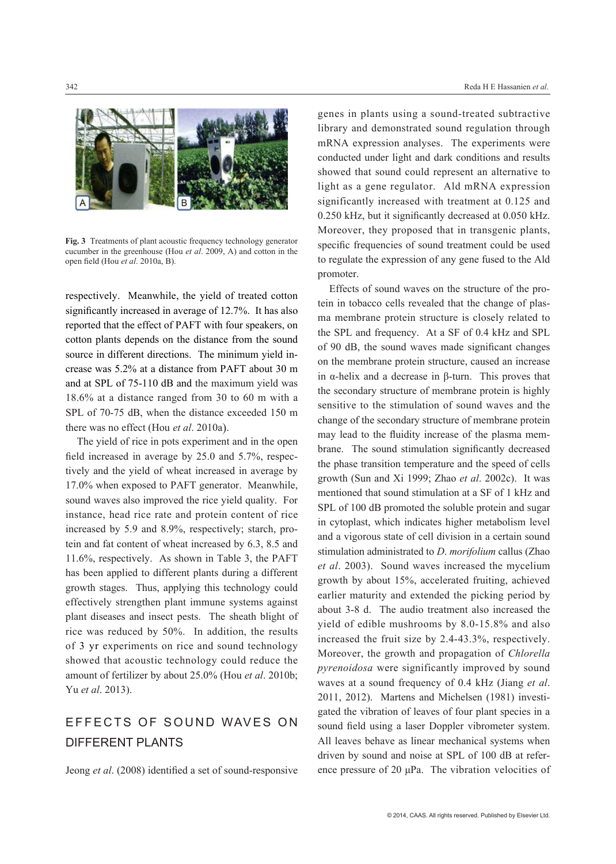

**Fig. 3** Treatments of plant acoustic frequency technology generator cucumber in the greenhouse (Hou *et al*. 2009, A) and cotton in the open field (Hou *et al*. 2010a, B).

respectively. Meanwhile, the yield of treated cotton significantly increased in average of 12.7%. It has also reported that the effect of PAFT with four speakers, on cotton plants depends on the distance from the sound source in different directions. The minimum yield increase was 5.2% at a distance from PAFT about 30 m and at SPL of 75-110 dB and the maximum yield was 18.6% at a distance ranged from 30 to 60 m with a SPL of 70-75 dB, when the distance exceeded 150 m there was no effect (Hou *et al*. 2010a).

The yield of rice in pots experiment and in the open field increased in average by 25.0 and 5.7%, respectively and the yield of wheat increased in average by 17.0% when exposed to PAFT generator. Meanwhile, sound waves also improved the rice yield quality. For instance, head rice rate and protein content of rice increased by 5.9 and 8.9%, respectively; starch, protein and fat content of wheat increased by 6.3, 8.5 and 11.6%, respectively. As shown in Table 3, the PAFT has been applied to different plants during a different growth stages. Thus, applying this technology could effectively strengthen plant immune systems against plant diseases and insect pests. The sheath blight of rice was reduced by 50%. In addition, the results of 3 yr experiments on rice and sound technology showed that acoustic technology could reduce the amount of fertilizer by about 25.0% (Hou *et al*. 2010b; Yu *et al*. 2013).

### EFFECTS OF SOUND WAVES ON DIFFERENT PLANTS

Jeong *et al*. (2008) identified a set of sound-responsive

genes in plants using a sound-treated subtractive library and demonstrated sound regulation through mRNA expression analyses. The experiments were conducted under light and dark conditions and results showed that sound could represent an alternative to light as a gene regulator. Ald mRNA expression significantly increased with treatment at 0.125 and 0.250 kHz, but it significantly decreased at 0.050 kHz. Moreover, they proposed that in transgenic plants, specific frequencies of sound treatment could be used to regulate the expression of any gene fused to the Ald promoter.

Effects of sound waves on the structure of the protein in tobacco cells revealed that the change of plasma membrane protein structure is closely related to the SPL and frequency. At a SF of 0.4 kHz and SPL of 90 dB, the sound waves made significant changes on the membrane protein structure, caused an increase in α-helix and a decrease in β-turn. This proves that the secondary structure of membrane protein is highly sensitive to the stimulation of sound waves and the change of the secondary structure of membrane protein may lead to the fluidity increase of the plasma membrane. The sound stimulation significantly decreased the phase transition temperature and the speed of cells growth (Sun and Xi 1999; Zhao *et al*. 2002c). It was mentioned that sound stimulation at a SF of 1 kHz and SPL of 100 dB promoted the soluble protein and sugar in cytoplast, which indicates higher metabolism level and a vigorous state of cell division in a certain sound stimulation administrated to *D*. *morifolium* callus (Zhao *et al*. 2003). Sound waves increased the mycelium growth by about 15%, accelerated fruiting, achieved earlier maturity and extended the picking period by about 3-8 d. The audio treatment also increased the yield of edible mushrooms by 8.0-15.8% and also increased the fruit size by 2.4-43.3%, respectively. Moreover, the growth and propagation of *Chlorella pyrenoidosa* were significantly improved by sound waves at a sound frequency of 0.4 kHz (Jiang *et al*. 2011, 2012). Martens and Michelsen (1981) investigated the vibration of leaves of four plant species in a sound field using a laser Doppler vibrometer system. All leaves behave as linear mechanical systems when driven by sound and noise at SPL of 100 dB at reference pressure of 20 μPa. The vibration velocities of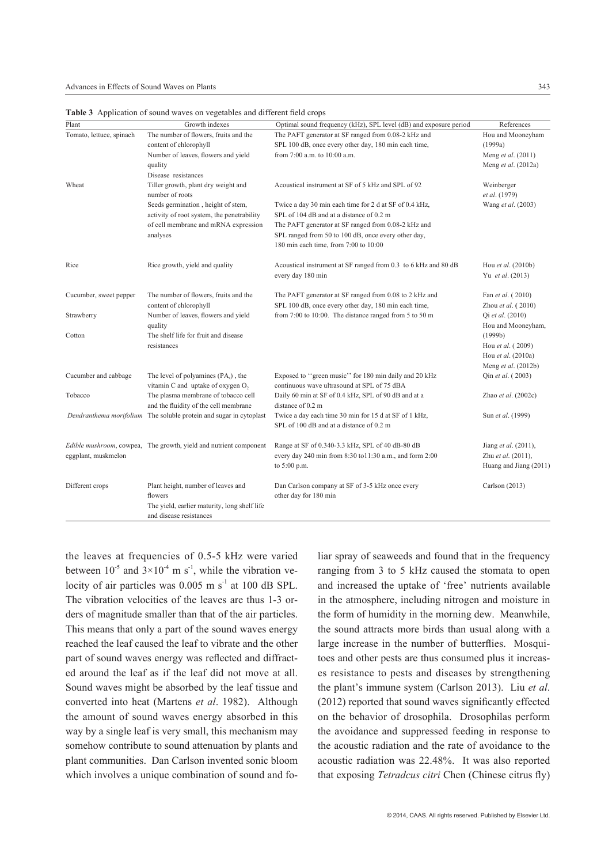| Plant                    | Growth indexes                                                                          | Optimal sound frequency (kHz), SPL level (dB) and exposure period                                    | References                    |
|--------------------------|-----------------------------------------------------------------------------------------|------------------------------------------------------------------------------------------------------|-------------------------------|
| Tomato, lettuce, spinach | The number of flowers, fruits and the                                                   | The PAFT generator at SF ranged from 0.08-2 kHz and                                                  | Hou and Mooneyham             |
|                          | content of chlorophyll                                                                  | SPL 100 dB, once every other day, 180 min each time,                                                 | (1999a)                       |
|                          | Number of leaves, flowers and yield                                                     | from 7:00 a.m. to 10:00 a.m.                                                                         | Meng et al. (2011)            |
|                          | quality                                                                                 |                                                                                                      | Meng et al. (2012a)           |
|                          | Disease resistances                                                                     |                                                                                                      |                               |
| Wheat                    | Tiller growth, plant dry weight and                                                     | Acoustical instrument at SF of 5 kHz and SPL of 92                                                   | Weinberger                    |
|                          | number of roots                                                                         |                                                                                                      | <i>et al.</i> (1979)          |
|                          | Seeds germination, height of stem,                                                      | Twice a day 30 min each time for 2 d at SF of 0.4 kHz,                                               | Wang et al. (2003)            |
|                          | activity of root system, the penetrability                                              | SPL of 104 dB and at a distance of 0.2 m                                                             |                               |
|                          | of cell membrane and mRNA expression                                                    | The PAFT generator at SF ranged from 0.08-2 kHz and                                                  |                               |
|                          | analyses                                                                                | SPL ranged from 50 to 100 dB, once every other day,                                                  |                               |
|                          |                                                                                         | 180 min each time, from 7:00 to 10:00                                                                |                               |
| Rice                     | Rice growth, yield and quality                                                          | Acoustical instrument at SF ranged from 0.3 to 6 kHz and 80 dB                                       | Hou <i>et al.</i> $(2010b)$   |
|                          |                                                                                         | every day 180 min                                                                                    | Yu et al. (2013)              |
| Cucumber, sweet pepper   | The number of flowers, fruits and the                                                   | The PAFT generator at SF ranged from 0.08 to 2 kHz and                                               | Fan et al. (2010)             |
|                          | content of chlorophyll                                                                  | SPL 100 dB, once every other day, 180 min each time,                                                 | Zhou et al. (2010)            |
| Strawberry               | Number of leaves, flowers and yield                                                     | from 7:00 to 10:00. The distance ranged from 5 to 50 m                                               | Qi et al. (2010)              |
| Cotton                   | quality<br>The shelf life for fruit and disease                                         |                                                                                                      | Hou and Mooneyham,<br>(1999b) |
|                          | resistances                                                                             |                                                                                                      | Hou et al. (2009)             |
|                          |                                                                                         |                                                                                                      | Hou et al. (2010a)            |
|                          |                                                                                         |                                                                                                      | Meng et al. (2012b)           |
| Cucumber and cabbage     | The level of polyamines (PA <sub>2</sub> ), the<br>vitamin C and uptake of oxygen $O_2$ | Exposed to "green music" for 180 min daily and 20 kHz<br>continuous wave ultrasound at SPL of 75 dBA | Qin et al. (2003)             |
| Tobacco                  | The plasma membrane of tobacco cell                                                     | Daily 60 min at SF of 0.4 kHz, SPL of 90 dB and at a                                                 | Zhao et al. (2002c)           |
|                          | and the fluidity of the cell membrane                                                   | distance of 0.2 m                                                                                    |                               |
|                          | Dendranthema morifolium The soluble protein and sugar in cytoplast                      | Twice a day each time 30 min for 15 d at SF of 1 kHz,<br>SPL of 100 dB and at a distance of 0.2 m    | Sun <i>et al.</i> (1999)      |
|                          | Edible mushroom, cowpea, The growth, yield and nutrient component                       | Range at SF of 0.340-3.3 kHz, SPL of 40 dB-80 dB                                                     | Jiang et al. (2011),          |
| eggplant, muskmelon      |                                                                                         | every day 240 min from 8:30 to11:30 a.m., and form 2:00                                              | Zhu et al. (2011),            |
|                          |                                                                                         | to 5:00 p.m.                                                                                         | Huang and Jiang (2011)        |
| Different crops          | Plant height, number of leaves and                                                      | Dan Carlson company at SF of 3-5 kHz once every                                                      | Carlson $(2013)$              |
|                          | flowers                                                                                 | other day for 180 min                                                                                |                               |
|                          | The yield, earlier maturity, long shelf life                                            |                                                                                                      |                               |
|                          | and disease resistances                                                                 |                                                                                                      |                               |

**Table 3** Application of sound waves on vegetables and different field crops

the leaves at frequencies of 0.5-5 kHz were varied between  $10^{-5}$  and  $3 \times 10^{-4}$  m s<sup>-1</sup>, while the vibration velocity of air particles was  $0.005$  m s<sup>-1</sup> at 100 dB SPL. The vibration velocities of the leaves are thus 1-3 orders of magnitude smaller than that of the air particles. This means that only a part of the sound waves energy reached the leaf caused the leaf to vibrate and the other part of sound waves energy was reflected and diffracted around the leaf as if the leaf did not move at all. Sound waves might be absorbed by the leaf tissue and converted into heat (Martens *et al*. 1982). Although the amount of sound waves energy absorbed in this way by a single leaf is very small, this mechanism may somehow contribute to sound attenuation by plants and plant communities. Dan Carlson invented sonic bloom which involves a unique combination of sound and fo-

liar spray of seaweeds and found that in the frequency ranging from 3 to 5 kHz caused the stomata to open and increased the uptake of 'free' nutrients available in the atmosphere, including nitrogen and moisture in the form of humidity in the morning dew. Meanwhile, the sound attracts more birds than usual along with a large increase in the number of butterflies. Mosquitoes and other pests are thus consumed plus it increases resistance to pests and diseases by strengthening the plant's immune system (Carlson 2013). Liu *et al*. (2012) reported that sound waves significantly effected on the behavior of drosophila. Drosophilas perform the avoidance and suppressed feeding in response to the acoustic radiation and the rate of avoidance to the acoustic radiation was 22.48%. It was also reported that exposing *Tetradcus citri* Chen (Chinese citrus fly)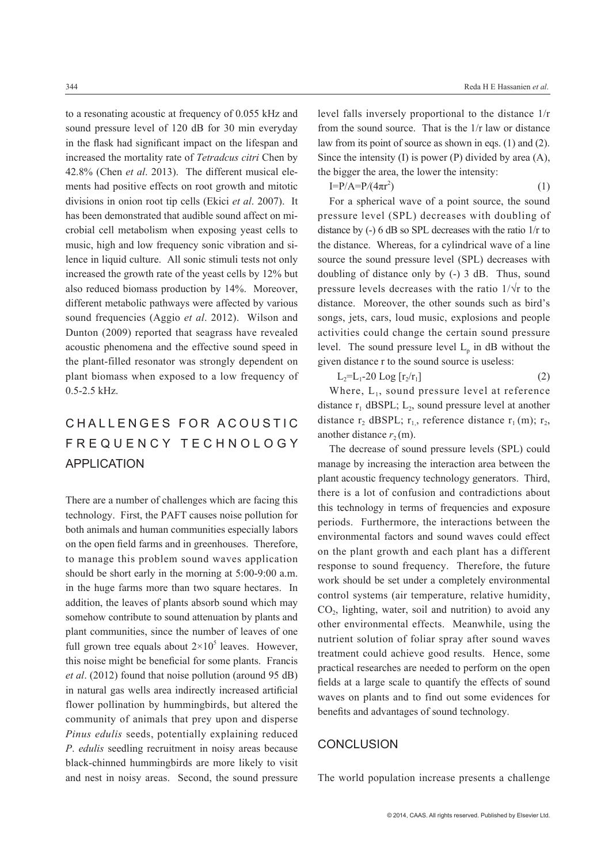to a resonating acoustic at frequency of 0.055 kHz and sound pressure level of 120 dB for 30 min everyday in the flask had significant impact on the lifespan and increased the mortality rate of *Tetradcus citri* Chen by 42.8% (Chen *et al*. 2013). The different musical elements had positive effects on root growth and mitotic divisions in onion root tip cells (Ekici *et al*. 2007). It has been demonstrated that audible sound affect on microbial cell metabolism when exposing yeast cells to music, high and low frequency sonic vibration and silence in liquid culture. All sonic stimuli tests not only increased the growth rate of the yeast cells by 12% but also reduced biomass production by 14%. Moreover, different metabolic pathways were affected by various sound frequencies (Aggio *et al*. 2012). Wilson and Dunton (2009) reported that seagrass have revealed acoustic phenomena and the effective sound speed in the plant-filled resonator was strongly dependent on plant biomass when exposed to a low frequency of 0.5-2.5 kHz.

# CHALLENGES FOR ACOUSTIC F R E Q U E N C Y T E C H N O L O G Y APPLICATION

There are a number of challenges which are facing this technology. First, the PAFT causes noise pollution for both animals and human communities especially labors on the open field farms and in greenhouses. Therefore, to manage this problem sound waves application should be short early in the morning at 5:00-9:00 a.m. in the huge farms more than two square hectares. In addition, the leaves of plants absorb sound which may somehow contribute to sound attenuation by plants and plant communities, since the number of leaves of one full grown tree equals about  $2 \times 10^5$  leaves. However, this noise might be beneficial for some plants. Francis *et al*. (2012) found that noise pollution (around 95 dB) in natural gas wells area indirectly increased artificial flower pollination by hummingbirds, but altered the community of animals that prey upon and disperse *Pinus edulis* seeds, potentially explaining reduced *P*. *edulis* seedling recruitment in noisy areas because black-chinned hummingbirds are more likely to visit and nest in noisy areas.Second, the sound pressure

level falls inversely proportional to the distance 1/r from the sound source. That is the 1/r law or distance law from its point of source as shown in eqs. (1) and (2). Since the intensity  $(I)$  is power  $(P)$  divided by area  $(A)$ , the bigger the area, the lower the intensity:

I=P/A=P*/*(4πr 2  $(1)$ 

For a spherical wave of a point source, the sound pressure level (SPL) decreases with doubling of distance by (-) 6 dB so SPL decreases with the ratio 1/r to the distance. Whereas, for a cylindrical wave of a line source the sound pressure level (SPL) decreases with doubling of distance only by (-) 3 dB. Thus, sound pressure levels decreases with the ratio  $1/\sqrt{r}$  to the distance. Moreover, the other sounds such as bird's songs, jets, cars, loud music, explosions and people activities could change the certain sound pressure level. The sound pressure level  $L<sub>n</sub>$  in dB without the given distance r to the sound source is useless:

 $L_2=L_1-20$   $\text{Log } [r_2/r_1]$  (2)

Where,  $L_1$ , sound pressure level at reference distance  $r_1$  dBSPL; L<sub>2</sub>, sound pressure level at another distance  $r_2$  dBSPL;  $r_1$ , reference distance  $r_1$  (m);  $r_2$ , another distance  $r_2$  (m).

The decrease of sound pressure levels (SPL) could manage by increasing the interaction area between the plant acoustic frequency technology generators. Third, there is a lot of confusion and contradictions about this technology in terms of frequencies and exposure periods. Furthermore, the interactions between the environmental factors and sound waves could effect on the plant growth and each plant has a different response to sound frequency. Therefore, the future work should be set under a completely environmental control systems (air temperature, relative humidity,  $CO<sub>2</sub>$ , lighting, water, soil and nutrition) to avoid any other environmental effects. Meanwhile, using the nutrient solution of foliar spray after sound waves treatment could achieve good results. Hence, some practical researches are needed to perform on the open fields at a large scale to quantify the effects of sound waves on plants and to find out some evidences for benefits and advantages of sound technology.

### **CONCLUSION**

The world population increase presents a challenge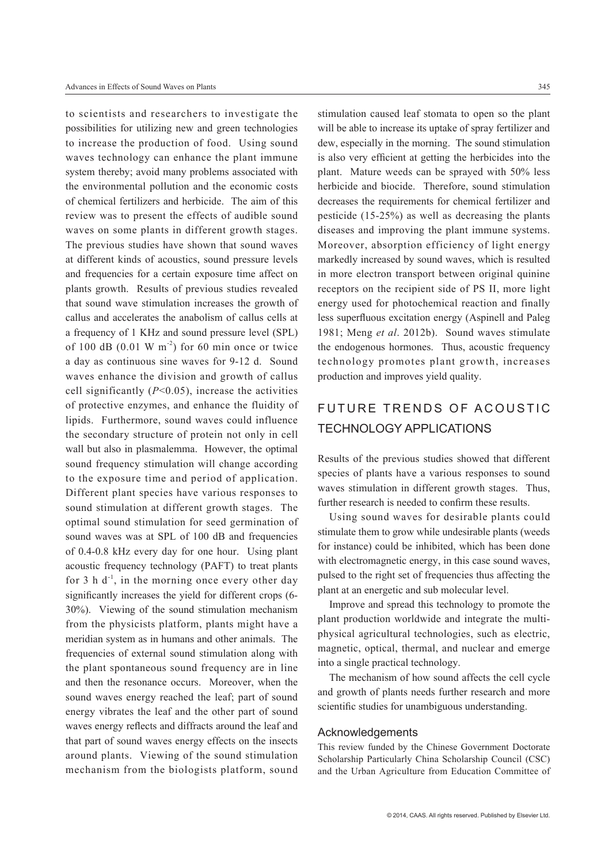to scientists and researchers to investigate the possibilities for utilizing new and green technologies to increase the production of food. Using sound waves technology can enhance the plant immune system thereby; avoid many problems associated with the environmental pollution and the economic costs of chemical fertilizers and herbicide. The aim of this review was to present the effects of audible sound waves on some plants in different growth stages. The previous studies have shown that sound waves at different kinds of acoustics, sound pressure levels and frequencies for a certain exposure time affect on plants growth. Results of previous studies revealed that sound wave stimulation increases the growth of callus and accelerates the anabolism of callus cells at a frequency of 1 KHz and sound pressure level (SPL) of 100 dB  $(0.01 \text{ W m}^2)$  for 60 min once or twice a day as continuous sine waves for 9-12 d. Sound waves enhance the division and growth of callus cell significantly  $(P<0.05)$ , increase the activities of protective enzymes, and enhance the fluidity of lipids. Furthermore, sound waves could influence the secondary structure of protein not only in cell wall but also in plasmalemma. However, the optimal sound frequency stimulation will change according to the exposure time and period of application. Different plant species have various responses to sound stimulation at different growth stages. The optimal sound stimulation for seed germination of sound waves was at SPL of 100 dB and frequencies of 0.4-0.8 kHz every day for one hour. Using plant acoustic frequency technology (PAFT) to treat plants for 3 h  $d^{-1}$ , in the morning once every other day significantly increases the yield for different crops (6- 30%). Viewing of the sound stimulation mechanism from the physicists platform, plants might have a meridian system as in humans and other animals. The frequencies of external sound stimulation along with the plant spontaneous sound frequency are in line and then the resonance occurs. Moreover, when the sound waves energy reached the leaf; part of sound energy vibrates the leaf and the other part of sound waves energy reflects and diffracts around the leaf and that part of sound waves energy effects on the insects around plants. Viewing of the sound stimulation mechanism from the biologists platform, sound

stimulation caused leaf stomata to open so the plant will be able to increase its uptake of spray fertilizer and dew, especially in the morning. The sound stimulation is also very efficient at getting the herbicides into the plant. Mature weeds can be sprayed with 50% less herbicide and biocide. Therefore, sound stimulation decreases the requirements for chemical fertilizer and pesticide (15-25%) as well as decreasing the plants diseases and improving the plant immune systems. Moreover, absorption efficiency of light energy markedly increased by sound waves, which is resulted in more electron transport between original quinine receptors on the recipient side of PS II, more light energy used for photochemical reaction and finally less superfluous excitation energy (Aspinell and Paleg 1981; Meng *et al*. 2012b). Sound waves stimulate the endogenous hormones. Thus, acoustic frequency technology promotes plant growth, increases production and improves yield quality.

### FUTURE TRENDS OF ACOUSTIC TECHNOLOGY APPLICATIONS

Results of the previous studies showed that different species of plants have a various responses to sound waves stimulation in different growth stages. Thus, further research is needed to confirm these results.

Using sound waves for desirable plants could stimulate them to grow while undesirable plants (weeds for instance) could be inhibited, which has been done with electromagnetic energy, in this case sound waves, pulsed to the right set of frequencies thus affecting the plant at an energetic and sub molecular level.

Improve and spread this technology to promote the plant production worldwide and integrate the multiphysical agricultural technologies, such as electric, magnetic, optical, thermal, and nuclear and emerge into a single practical technology.

The mechanism of how sound affects the cell cycle and growth of plants needs further research and more scientific studies for unambiguous understanding.

#### Acknowledgements

This review funded by the Chinese Government Doctorate Scholarship Particularly China Scholarship Council (CSC) and the Urban Agriculture from Education Committee of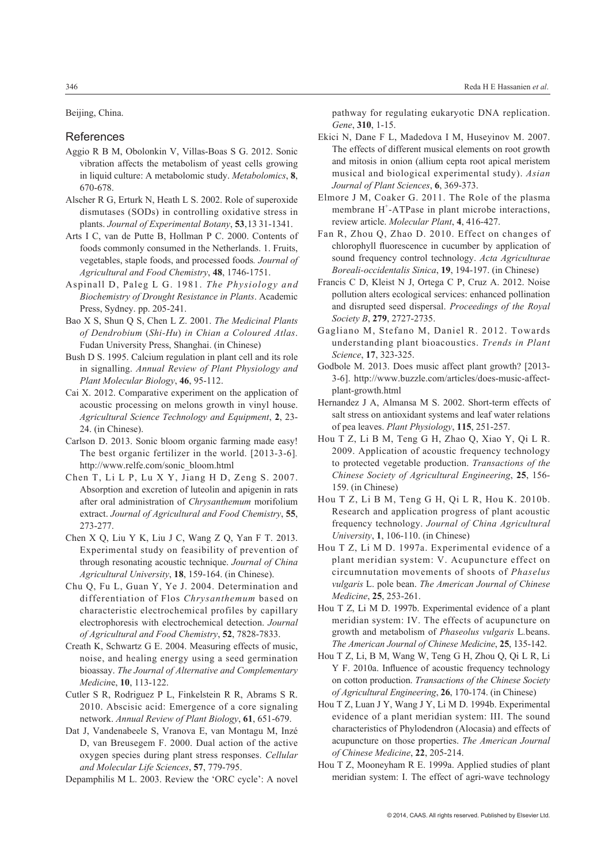Beijing, China.

#### **References**

- Aggio R B M, Obolonkin V, Villas-Boas S G. 2012. Sonic vibration affects the metabolism of yeast cells growing in liquid culture: A metabolomic study. *Metabolomics*, **8**, 670-678.
- Alscher R G, Erturk N, Heath L S. 2002. Role of superoxide dismutases (SODs) in controlling oxidative stress in plants. *Journal of Experimental Botany*, **53**, 13 31-1341.
- Arts I C, van de Putte B, Hollman P C. 2000. Contents of foods commonly consumed in the Netherlands. 1. Fruits, vegetables, staple foods, and processed foods*. Journal of Agricultural and Food Chemistry*, **48**, 1746-1751.
- Aspinall D, Paleg L G. 1981. *The Physiology and Biochemistry of Drought Resistance in Plants*. Academic Press, Sydney. pp. 205-241.
- Bao X S, Shun Q S, Chen L Z. 2001. *The Medicinal Plants of Dendrobium* (*Shi-Hu*) *in Chian a Coloured Atlas*. Fudan University Press, Shanghai. (in Chinese)
- Bush D S. 1995. Calcium regulation in plant cell and its role in signalling. *Annual Review of Plant Physiology and Plant Molecular Biology*, **46**, 95-112.
- Cai X. 2012. Comparative experiment on the application of acoustic processing on melons growth in vinyl house. *Agricultural Science Technology and Equipment*, **2**, 23- 24. (in Chinese).
- Carlson D. 2013. Sonic bloom organic farming made easy! The best organic fertilizer in the world. [2013-3-6]*.*  http://www.relfe.com/sonic\_bloom.html
- Chen T, Li L P, Lu X Y, Jiang H D, Zeng S. 2007. Absorption and excretion of luteolin and apigenin in rats after oral administration of *Chrysanthemum* morifolium extract. *Journal of Agricultural and Food Chemistry*, **55**, 273-277.
- Chen X Q, Liu Y K, Liu J C, Wang Z Q, Yan F T. 2013. Experimental study on feasibility of prevention of through resonating acoustic technique. *Journal of China Agricultural University*, **18**, 159-164. (in Chinese).
- Chu Q, Fu L, Guan Y, Ye J. 2004. Determination and differentiation of Flos *Chrysanthemum* based on characteristic electrochemical profiles by capillary electrophoresis with electrochemical detection. *Journal of Agricultural and Food Chemistry*, **52**, 7828-7833.
- Creath K, Schwartz G E. 2004. Measuring effects of music, noise, and healing energy using a seed germination bioassay. *The Journal of Alternative and Complementary Medicin*e, **10**, 113-122.
- Cutler S R, Rodriguez P L, Finkelstein R R, Abrams S R. 2010. Abscisic acid: Emergence of a core signaling network. *Annual Review of Plant Biology*, **61**, 651-679.
- Dat J, Vandenabeele S, Vranova E, van Montagu M, Inzé D, van Breusegem F. 2000. Dual action of the active oxygen species during plant stress responses. *Cellular and Molecular Life Sciences*, **57**, 779-795.

Depamphilis M L. 2003. Review the 'ORC cycle': A novel

pathway for regulating eukaryotic DNA replication. *Gene*, **310**, 1-15.

- Ekici N, Dane F L, Madedova I M, Huseyinov M. 2007. The effects of different musical elements on root growth and mitosis in onion (allium cepta root apical meristem musical and biological experimental study). *Asian Journal of Plant Sciences*, **6**, 369-373.
- Elmore J M, Coaker G. 2011. The Role of the plasma membrane H<sup>+</sup>-ATPase in plant microbe interactions, review article. *Molecular Plant*, **4**, 416-427.
- Fan R, Zhou Q, Zhao D. 2010. Effect on changes of chlorophyll fluorescence in cucumber by application of sound frequency control technology. *Acta Agriculturae Boreali-occidentalis Sinica*, **19**, 194-197. (in Chinese)
- Francis C D, Kleist N J, Ortega C P, Cruz A. 2012. Noise pollution alters ecological services: enhanced pollination and disrupted seed dispersal. *Proceedings of the Royal Society B*, **279**, 2727-2735.
- Gagliano M, Stefano M, Daniel R. 2012. Towards understanding plant bioacoustics. *Trends in Plant Science*, **17**, 323-325.
- Godbole M. 2013. Does music affect plant growth? [2013- 3-6]. http://www.buzzle.com/articles/does-music-affectplant-growth.html
- Hernandez J A, Almansa M S. 2002. Short-term effects of salt stress on antioxidant systems and leaf water relations of pea leaves. *Plant Physiology*, **115**, 251-257.
- Hou T Z, Li B M, Teng G H, Zhao Q, Xiao Y, Qi L R. 2009. Application of acoustic frequency technology to protected vegetable production. *Transactions of the Chinese Society of Agricultural Engineering*, **25**, 156- 159. (in Chinese)
- Hou T Z, Li B M, Teng G H, Qi L R, Hou K. 2010b. Research and application progress of plant acoustic frequency technology. *Journal of China Agricultural University*, **1**, 106-110. (in Chinese)
- Hou T Z, Li M D. 1997a. Experimental evidence of a plant meridian system: V. Acupuncture effect on circumnutation movements of shoots of *Phaselus vulgaris* L. pole bean. *The American Journal of Chinese Medicine*, **25**, 253-261.
- Hou T Z, Li M D. 1997b. Experimental evidence of a plant meridian system: IV. The effects of acupuncture on growth and metabolism of *Phaseolus vulgaris* L*.*beans. *The American Journal of Chinese Medicine*, **25**, 135-142.
- Hou T Z, Li, B M, Wang W, Teng G H, Zhou Q, Qi L R, Li Y F. 2010a. Influence of acoustic frequency technology on cotton production. *Transactions of the Chinese Society of Agricultural Engineering*, **26**, 170-174. (in Chinese)
- Hou T Z, Luan J Y, Wang J Y, Li M D. 1994b. Experimental evidence of a plant meridian system: III. The sound characteristics of Phylodendron (Alocasia) and effects of acupuncture on those properties. *The American Journal of Chinese Medicine*, **22**, 205-214.
- Hou T Z, Mooneyham R E. 1999a. Applied studies of plant meridian system: I. The effect of agri-wave technology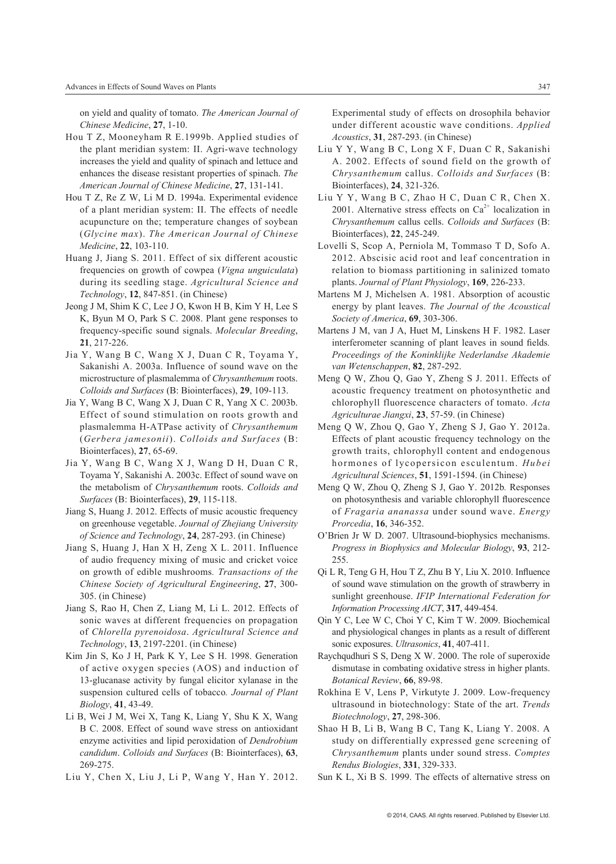on yield and quality of tomato. *The American Journal of Chinese Medicine*, **27**, 1-10.

- Hou T Z, Mooneyham R E.1999b. Applied studies of the plant meridian system: II. Agri-wave technology increases the yield and quality of spinach and lettuce and enhances the disease resistant properties of spinach. *The American Journal of Chinese Medicine*, **27**, 131-141.
- Hou T Z, Re Z W, Li M D. 1994a. Experimental evidence of a plant meridian system: II. The effects of needle acupuncture on the; temperature changes of soybean (*Glycine max*). *The American Journal of Chinese Medicine*, **22**, 103-110.
- Huang J, Jiang S. 2011. Effect of six different acoustic frequencies on growth of cowpea (*Vigna unguiculata*) during its seedling stage. *Agricultural Science and Technology*, **12**, 847-851. (in Chinese)
- Jeong J M, Shim K C, Lee J O, Kwon H B, Kim Y H, Lee S K, Byun M O, Park S C. 2008. Plant gene responses to frequency-specific sound signals. *Molecular Breeding*, **21**, 217-226.
- Jia Y, Wang B C, Wang X J, Duan C R, Toyama Y, Sakanishi A. 2003a. Influence of sound wave on the microstructure of plasmalemma of *Chrysanthemum* roots. *Colloids and Surfaces* (B: Biointerfaces), **29**, 109-113.
- Jia Y, Wang B C, Wang X J, Duan C R, Yang X C. 2003b. Effect of sound stimulation on roots growth and plasmalemma H-ATPase activity of *Chrysanthemum* (*Gerbera jamesonii*). *Colloids and Surfaces* (B: Biointerfaces), **27**, 65-69.
- Jia Y, Wang B C, Wang X J, Wang D H, Duan C R, Toyama Y, Sakanishi A. 2003c. Effect of sound wave on the metabolism of *Chrysanthemum* roots. *Colloids and Surfaces* (B: Biointerfaces), **29**, 115-118.
- Jiang S, Huang J. 2012. Effects of music acoustic frequency on greenhouse vegetable. *Journal of Zhejiang University of Science and Technology*, **24**, 287-293. (in Chinese)
- Jiang S, Huang J, Han X H, Zeng X L. 2011. Influence of audio frequency mixing of music and cricket voice on growth of edible mushrooms*. Transactions of the Chinese Society of Agricultural Engineering*, **27**, 300- 305. (in Chinese)
- Jiang S, Rao H, Chen Z, Liang M, Li L. 2012. Effects of sonic waves at different frequencies on propagation of *Chlorella pyrenoidosa*. *Agricultural Science and Technology*, **13**, 2197-2201. (in Chinese)
- Kim Jin S, Ko J H, Park K Y, Lee S H. 1998. Generation of active oxygen species (AOS) and induction of 13-glucanase activity by fungal elicitor xylanase in the suspension cultured cells of tobacco*. Journal of Plant Biology*, **41**, 43-49.
- Li B, Wei J M, Wei X, Tang K, Liang Y, Shu K X, Wang B C. 2008. Effect of sound wave stress on antioxidant enzyme activities and lipid peroxidation of *Dendrobium candidum*. *Colloids and Surfaces* (B: Biointerfaces), **63**, 269-275.
- Liu Y, Chen X, Liu J, Li P, Wang Y, Han Y. 2012.

Experimental study of effects on drosophila behavior under different acoustic wave conditions. *Applied Acoustics*, **31**, 287-293. (in Chinese)

- Liu Y Y, Wang B C, Long X F, Duan C R, Sakanishi A. 2002. Effects of sound field on the growth of *Chrysanthemum* callus. *Colloids and Surfaces* (B: Biointerfaces), **24**, 321-326.
- Liu Y Y, Wang B C, Zhao H C, Duan C R, Chen X. 2001. Alternative stress effects on  $Ca<sup>2+</sup>$  localization in *Chrysanthemum* callus cells. *Colloids and Surfaces* (B: Biointerfaces), **22**, 245-249.
- Lovelli S, Scop A, Perniola M, Tommaso T D, Sofo A. 2012. Abscisic acid root and leaf concentration in relation to biomass partitioning in salinized tomato plants. *Journal of Plant Physiology*, **169**, 226-233.
- Martens M J, Michelsen A. 1981. Absorption of acoustic energy by plant leaves. *The Journal of the Acoustical Society of America*, **69**, 303-306.
- Martens J M, van J A, Huet M, Linskens H F. 1982. Laser interferometer scanning of plant leaves in sound fields*. Proceedings of the Koninklijke Nederlandse Akademie van Wetenschappen*, **82**, 287-292.
- Meng Q W, Zhou Q, Gao Y, Zheng S J. 2011. Effects of acoustic frequency treatment on photosynthetic and chlorophyll fluorescence characters of tomato. *Acta Agriculturae Jiangxi*, **23**, 57-59. (in Chinese)
- Meng Q W, Zhou Q, Gao Y, Zheng S J, Gao Y. 2012a. Effects of plant acoustic frequency technology on the growth traits, chlorophyll content and endogenous hormones of lycopersicon esculentum. *Hubei Agricultural Sciences*, **51**, 1591-1594. (in Chinese)
- Meng Q W, Zhou Q, Zheng S J, Gao Y. 2012b*.* Responses on photosynthesis and variable chlorophyll fluorescence of *Fragaria ananassa* under sound wave. *Energy Prorcedia*, **16**, 346-352.
- O'Brien Jr W D. 2007. Ultrasound-biophysics mechanisms. *Progress in Biophysics and Molecular Biology*, **93**, 212- 255.
- Qi L R, Teng G H, Hou T Z, Zhu B Y, Liu X. 2010. Influence of sound wave stimulation on the growth of strawberry in sunlight greenhouse. *IFIP International Federation for Information Processing AICT*, **317**, 449-454.
- Qin Y C, Lee W C, Choi Y C, Kim T W. 2009. Biochemical and physiological changes in plants as a result of different sonic exposures. *Ultrasonics*, **41**, 407-411.
- Raychqudhuri S S, Deng X W. 2000. The role of superoxide dismutase in combating oxidative stress in higher plants. *Botanical Review*, **66**, 89-98.
- Rokhina E V, Lens P, Virkutyte J. 2009. Low-frequency ultrasound in biotechnology: State of the art. *Trends Biotechnology*, **27**, 298-306.
- Shao H B, Li B, Wang B C, Tang K, Liang Y. 2008. A study on differentially expressed gene screening of *Chrysanthemum* plants under sound stress. *Comptes Rendus Biologies*, **331**, 329-333.
- Sun K L, Xi B S. 1999. The effects of alternative stress on